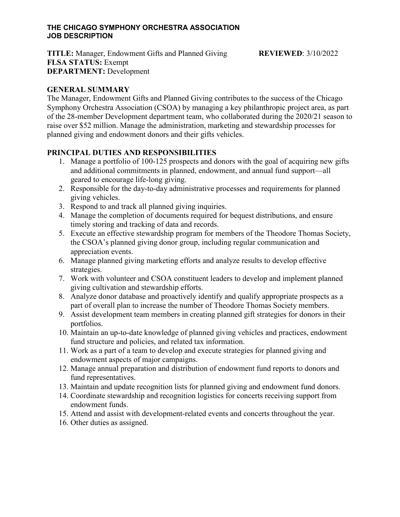#### **THE CHICAGO SYMPHONY ORCHESTRA ASSOCIATION JOB DESCRIPTION**

**TITLE:** Manager, Endowment Gifts and Planned Giving **REVIEWED**: 3/10/2022 **FLSA STATUS:** Exempt **DEPARTMENT:** Development

### **GENERAL SUMMARY**

The Manager, Endowment Gifts and Planned Giving contributes to the success of the Chicago Symphony Orchestra Association (CSOA) by managing a key philanthropic project area, as part of the 28-member Development department team, who collaborated during the 2020/21 season to raise over \$52 million. Manage the administration, marketing and stewardship processes for planned giving and endowment donors and their gifts vehicles.

### **PRINCIPAL DUTIES AND RESPONSIBILITIES**

- 1. Manage a portfolio of 100-125 prospects and donors with the goal of acquiring new gifts and additional commitments in planned, endowment, and annual fund support—all geared to encourage life-long giving.
- 2. Responsible for the day-to-day administrative processes and requirements for planned giving vehicles.
- 3. Respond to and track all planned giving inquiries.
- 4. Manage the completion of documents required for bequest distributions, and ensure timely storing and tracking of data and records.
- 5. Execute an effective stewardship program for members of the Theodore Thomas Society, the CSOA's planned giving donor group, including regular communication and appreciation events.
- 6. Manage planned giving marketing efforts and analyze results to develop effective strategies.
- 7. Work with volunteer and CSOA constituent leaders to develop and implement planned giving cultivation and stewardship efforts.
- 8. Analyze donor database and proactively identify and qualify appropriate prospects as a part of overall plan to increase the number of Theodore Thomas Society members.
- 9. Assist development team members in creating planned gift strategies for donors in their portfolios.
- 10. Maintain an up-to-date knowledge of planned giving vehicles and practices, endowment fund structure and policies, and related tax information.
- 11. Work as a part of a team to develop and execute strategies for planned giving and endowment aspects of major campaigns.
- 12. Manage annual preparation and distribution of endowment fund reports to donors and fund representatives.
- 13. Maintain and update recognition lists for planned giving and endowment fund donors.
- 14. Coordinate stewardship and recognition logistics for concerts receiving support from endowment funds.
- 15. Attend and assist with development-related events and concerts throughout the year.
- 16. Other duties as assigned.